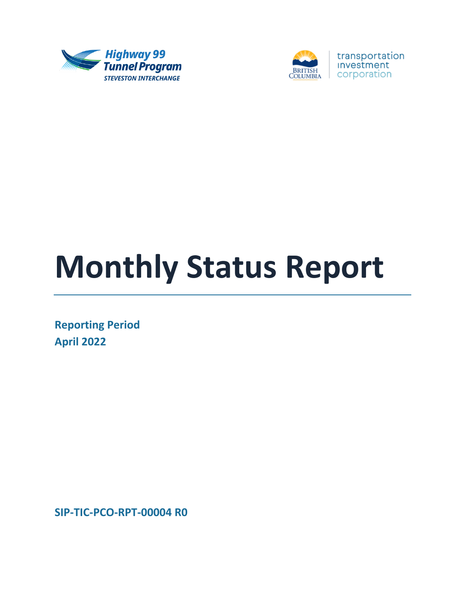



# **Monthly Status Report**

**Reporting Period April 2022**

**SIP-TIC-PCO-RPT-00004 R0**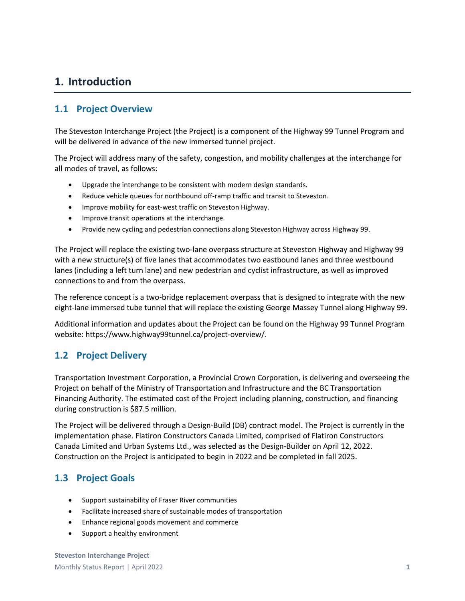### **1. Introduction**

#### **1.1 Project Overview**

The Steveston Interchange Project (the Project) is a component of the Highway 99 Tunnel Program and will be delivered in advance of the new immersed tunnel project.

The Project will address many of the safety, congestion, and mobility challenges at the interchange for all modes of travel, as follows:

- Upgrade the interchange to be consistent with modern design standards.
- Reduce vehicle queues for northbound off-ramp traffic and transit to Steveston.
- Improve mobility for east-west traffic on Steveston Highway.
- Improve transit operations at the interchange.
- Provide new cycling and pedestrian connections along Steveston Highway across Highway 99.

The Project will replace the existing two-lane overpass structure at Steveston Highway and Highway 99 with a new structure(s) of five lanes that accommodates two eastbound lanes and three westbound lanes (including a left turn lane) and new pedestrian and cyclist infrastructure, as well as improved connections to and from the overpass.

The reference concept is a two-bridge replacement overpass that is designed to integrate with the new eight-lane immersed tube tunnel that will replace the existing George Massey Tunnel along Highway 99.

Additional information and updates about the Project can be found on the Highway 99 Tunnel Program website: https://www.highway99tunnel.ca/project-overview/.

#### **1.2 Project Delivery**

Transportation Investment Corporation, a Provincial Crown Corporation, is delivering and overseeing the Project on behalf of the Ministry of Transportation and Infrastructure and the BC Transportation Financing Authority. The estimated cost of the Project including planning, construction, and financing during construction is \$87.5 million.

The Project will be delivered through a Design-Build (DB) contract model. The Project is currently in the implementation phase. Flatiron Constructors Canada Limited, comprised of Flatiron Constructors Canada Limited and Urban Systems Ltd., was selected as the Design-Builder on April 12, 2022. Construction on the Project is anticipated to begin in 2022 and be completed in fall 2025.

#### **1.3 Project Goals**

- Support sustainability of Fraser River communities
- Facilitate increased share of sustainable modes of transportation
- Enhance regional goods movement and commerce
- Support a healthy environment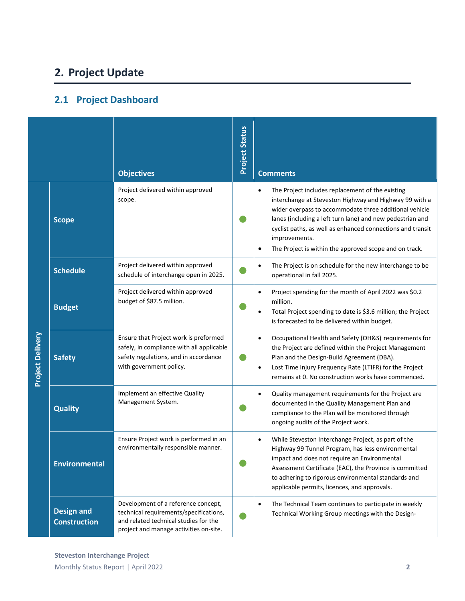# **2. Project Update**

## **2.1 Project Dashboard**

|                         |                                          | <b>Objectives</b>                                                                                                                                                | <b>Project Status</b> | <b>Comments</b>                                                                                                                                                                                                                                                                                                                                                                         |
|-------------------------|------------------------------------------|------------------------------------------------------------------------------------------------------------------------------------------------------------------|-----------------------|-----------------------------------------------------------------------------------------------------------------------------------------------------------------------------------------------------------------------------------------------------------------------------------------------------------------------------------------------------------------------------------------|
|                         | <b>Scope</b>                             | Project delivered within approved<br>scope.                                                                                                                      |                       | The Project includes replacement of the existing<br>interchange at Steveston Highway and Highway 99 with a<br>wider overpass to accommodate three additional vehicle<br>lanes (including a left turn lane) and new pedestrian and<br>cyclist paths, as well as enhanced connections and transit<br>improvements.<br>The Project is within the approved scope and on track.<br>$\bullet$ |
|                         | <b>Schedule</b>                          | Project delivered within approved<br>schedule of interchange open in 2025.                                                                                       |                       | The Project is on schedule for the new interchange to be<br>$\bullet$<br>operational in fall 2025.                                                                                                                                                                                                                                                                                      |
| <b>Project Delivery</b> | <b>Budget</b>                            | Project delivered within approved<br>budget of \$87.5 million.                                                                                                   |                       | Project spending for the month of April 2022 was \$0.2<br>$\bullet$<br>million.<br>Total Project spending to date is \$3.6 million; the Project<br>٠<br>is forecasted to be delivered within budget.                                                                                                                                                                                    |
|                         | <b>Safety</b>                            | Ensure that Project work is preformed<br>safely, in compliance with all applicable<br>safety regulations, and in accordance<br>with government policy.           |                       | Occupational Health and Safety (OH&S) requirements for<br>$\bullet$<br>the Project are defined within the Project Management<br>Plan and the Design-Build Agreement (DBA).<br>Lost Time Injury Frequency Rate (LTIFR) for the Project<br>$\bullet$<br>remains at 0. No construction works have commenced.                                                                               |
|                         | <b>Quality</b>                           | Implement an effective Quality<br>Management System.                                                                                                             |                       | Quality management requirements for the Project are<br>٠<br>documented in the Quality Management Plan and<br>compliance to the Plan will be monitored through<br>ongoing audits of the Project work.                                                                                                                                                                                    |
|                         | <b>Environmental</b>                     | Ensure Project work is performed in an<br>environmentally responsible manner.                                                                                    |                       | While Steveston Interchange Project, as part of the<br>Highway 99 Tunnel Program, has less environmental<br>impact and does not require an Environmental<br>Assessment Certificate (EAC), the Province is committed<br>to adhering to rigorous environmental standards and<br>applicable permits, licences, and approvals.                                                              |
|                         | <b>Design and</b><br><b>Construction</b> | Development of a reference concept,<br>technical requirements/specifications,<br>and related technical studies for the<br>project and manage activities on-site. |                       | The Technical Team continues to participate in weekly<br>$\bullet$<br>Technical Working Group meetings with the Design-                                                                                                                                                                                                                                                                 |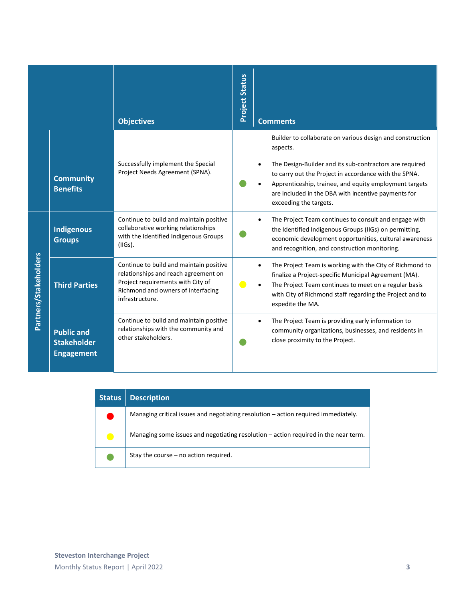|                       |                                                              | <b>Objectives</b>                                                                                                                                                             | <b>Project Status</b> | <b>Comments</b>                                                                                                                                                                                                                                                          |
|-----------------------|--------------------------------------------------------------|-------------------------------------------------------------------------------------------------------------------------------------------------------------------------------|-----------------------|--------------------------------------------------------------------------------------------------------------------------------------------------------------------------------------------------------------------------------------------------------------------------|
|                       |                                                              |                                                                                                                                                                               |                       | Builder to collaborate on various design and construction<br>aspects.                                                                                                                                                                                                    |
|                       | <b>Community</b><br><b>Benefits</b>                          | Successfully implement the Special<br>Project Needs Agreement (SPNA).                                                                                                         |                       | The Design-Builder and its sub-contractors are required<br>$\bullet$<br>to carry out the Project in accordance with the SPNA.<br>Apprenticeship, trainee, and equity employment targets<br>are included in the DBA with incentive payments for<br>exceeding the targets. |
| Partners/Stakeholders | <b>Indigenous</b><br><b>Groups</b>                           | Continue to build and maintain positive<br>collaborative working relationships<br>with the Identified Indigenous Groups<br>$(IIGS)$ .                                         |                       | The Project Team continues to consult and engage with<br>the Identified Indigenous Groups (IIGs) on permitting,<br>economic development opportunities, cultural awareness<br>and recognition, and construction monitoring.                                               |
|                       | <b>Third Parties</b>                                         | Continue to build and maintain positive<br>relationships and reach agreement on<br>Project requirements with City of<br>Richmond and owners of interfacing<br>infrastructure. |                       | The Project Team is working with the City of Richmond to<br>finalize a Project-specific Municipal Agreement (MA).<br>The Project Team continues to meet on a regular basis<br>with City of Richmond staff regarding the Project and to<br>expedite the MA.               |
|                       | <b>Public and</b><br><b>Stakeholder</b><br><b>Engagement</b> | Continue to build and maintain positive<br>relationships with the community and<br>other stakeholders.                                                                        |                       | The Project Team is providing early information to<br>community organizations, businesses, and residents in<br>close proximity to the Project.                                                                                                                           |

| <b>Status</b>  | <b>Description</b>                                                                   |
|----------------|--------------------------------------------------------------------------------------|
|                | Managing critical issues and negotiating resolution $-$ action required immediately. |
| $\blacksquare$ | Managing some issues and negotiating resolution - action required in the near term.  |
|                | Stay the course – no action required.                                                |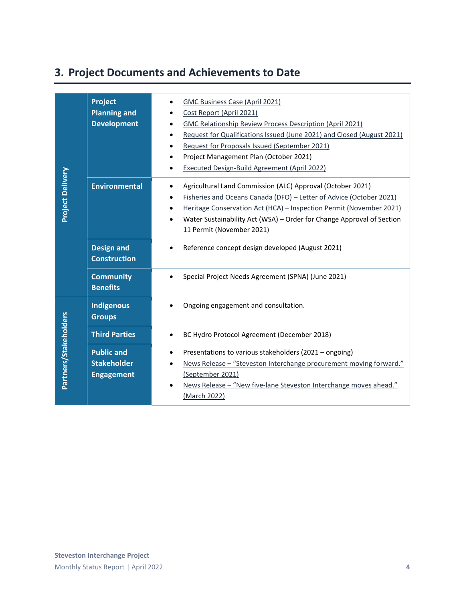# **3. Project Documents and Achievements to Date**

|                         | <b>Project</b><br><b>Planning and</b><br><b>Development</b>  | <b>GMC Business Case (April 2021)</b><br>Cost Report (April 2021)<br>GMC Relationship Review Process Description (April 2021)<br>Request for Qualifications Issued (June 2021) and Closed (August 2021)<br>Request for Proposals Issued (September 2021)<br>Project Management Plan (October 2021)<br><b>Executed Design-Build Agreement (April 2022)</b> |
|-------------------------|--------------------------------------------------------------|-----------------------------------------------------------------------------------------------------------------------------------------------------------------------------------------------------------------------------------------------------------------------------------------------------------------------------------------------------------|
| <b>Project Delivery</b> | <b>Environmental</b>                                         | Agricultural Land Commission (ALC) Approval (October 2021)<br>$\bullet$<br>Fisheries and Oceans Canada (DFO) - Letter of Advice (October 2021)<br>Heritage Conservation Act (HCA) - Inspection Permit (November 2021)<br>Water Sustainability Act (WSA) - Order for Change Approval of Section<br>$\bullet$<br>11 Permit (November 2021)                  |
|                         | <b>Design and</b><br><b>Construction</b>                     | Reference concept design developed (August 2021)                                                                                                                                                                                                                                                                                                          |
|                         | <b>Community</b><br><b>Benefits</b>                          | Special Project Needs Agreement (SPNA) (June 2021)                                                                                                                                                                                                                                                                                                        |
|                         | <b>Indigenous</b><br><b>Groups</b>                           | Ongoing engagement and consultation.                                                                                                                                                                                                                                                                                                                      |
|                         | <b>Third Parties</b>                                         | BC Hydro Protocol Agreement (December 2018)<br>$\bullet$                                                                                                                                                                                                                                                                                                  |
| Partners/Stakeholders   | <b>Public and</b><br><b>Stakeholder</b><br><b>Engagement</b> | Presentations to various stakeholders (2021 - ongoing)<br>News Release - "Steveston Interchange procurement moving forward."<br>(September 2021)<br>News Release - "New five-lane Steveston Interchange moves ahead."<br>(March 2022)                                                                                                                     |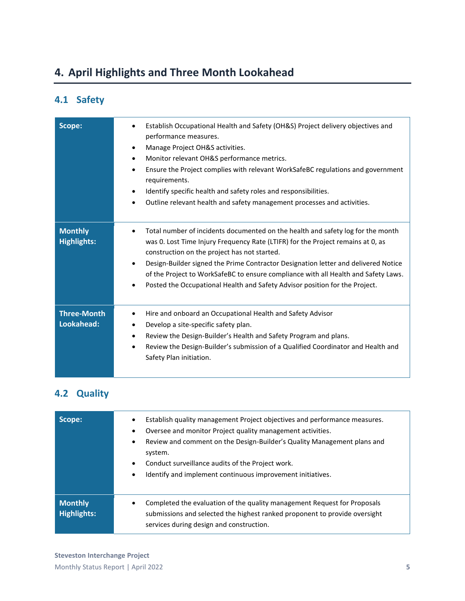# **4. April Highlights and Three Month Lookahead**

## **4.1 Safety**

| Scope:                               | Establish Occupational Health and Safety (OH&S) Project delivery objectives and<br>$\bullet$<br>performance measures.<br>Manage Project OH&S activities.<br>٠<br>Monitor relevant OH&S performance metrics.<br>$\bullet$<br>Ensure the Project complies with relevant WorkSafeBC regulations and government<br>$\bullet$<br>requirements.<br>Identify specific health and safety roles and responsibilities.<br>$\bullet$<br>Outline relevant health and safety management processes and activities.<br>$\bullet$ |
|--------------------------------------|-------------------------------------------------------------------------------------------------------------------------------------------------------------------------------------------------------------------------------------------------------------------------------------------------------------------------------------------------------------------------------------------------------------------------------------------------------------------------------------------------------------------|
| <b>Monthly</b><br><b>Highlights:</b> | Total number of incidents documented on the health and safety log for the month<br>$\bullet$<br>was 0. Lost Time Injury Frequency Rate (LTIFR) for the Project remains at 0, as<br>construction on the project has not started.<br>Design-Builder signed the Prime Contractor Designation letter and delivered Notice<br>$\bullet$<br>of the Project to WorkSafeBC to ensure compliance with all Health and Safety Laws.<br>Posted the Occupational Health and Safety Advisor position for the Project.           |
| <b>Three-Month</b><br>Lookahead:     | Hire and onboard an Occupational Health and Safety Advisor<br>$\bullet$<br>Develop a site-specific safety plan.<br>٠<br>Review the Design-Builder's Health and Safety Program and plans.<br>٠<br>Review the Design-Builder's submission of a Qualified Coordinator and Health and<br>٠<br>Safety Plan initiation.                                                                                                                                                                                                 |

### **4.2 Quality**

| Scope:                               | Establish quality management Project objectives and performance measures.<br>$\bullet$<br>Oversee and monitor Project quality management activities.<br>٠<br>Review and comment on the Design-Builder's Quality Management plans and<br>$\bullet$<br>system.<br>Conduct surveillance audits of the Project work.<br>٠<br>Identify and implement continuous improvement initiatives.<br>٠ |
|--------------------------------------|------------------------------------------------------------------------------------------------------------------------------------------------------------------------------------------------------------------------------------------------------------------------------------------------------------------------------------------------------------------------------------------|
| <b>Monthly</b><br><b>Highlights:</b> | Completed the evaluation of the quality management Request for Proposals<br>$\bullet$<br>submissions and selected the highest ranked proponent to provide oversight<br>services during design and construction.                                                                                                                                                                          |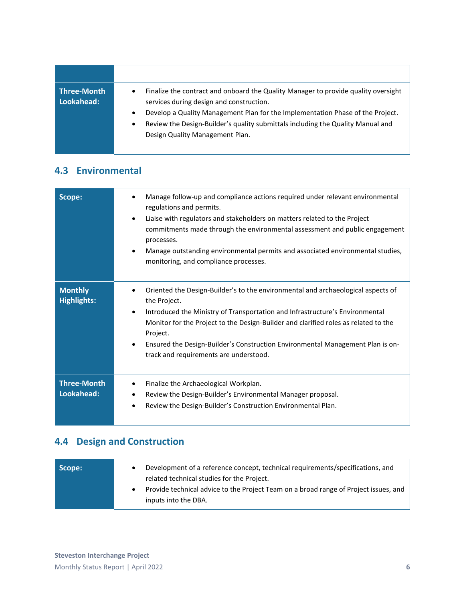**Three-Month Lookahead:** • Finalize the contract and onboard the Quality Manager to provide quality oversight services during design and construction. • Develop a Quality Management Plan for the Implementation Phase of the Project. • Review the Design-Builder's quality submittals including the Quality Manual and Design Quality Management Plan.

#### **4.3 Environmental**

| Scope:                               | Manage follow-up and compliance actions required under relevant environmental<br>regulations and permits.<br>Liaise with regulators and stakeholders on matters related to the Project<br>$\bullet$<br>commitments made through the environmental assessment and public engagement<br>processes.<br>Manage outstanding environmental permits and associated environmental studies,<br>$\bullet$<br>monitoring, and compliance processes.       |
|--------------------------------------|------------------------------------------------------------------------------------------------------------------------------------------------------------------------------------------------------------------------------------------------------------------------------------------------------------------------------------------------------------------------------------------------------------------------------------------------|
| <b>Monthly</b><br><b>Highlights:</b> | Oriented the Design-Builder's to the environmental and archaeological aspects of<br>٠<br>the Project.<br>Introduced the Ministry of Transportation and Infrastructure's Environmental<br>$\bullet$<br>Monitor for the Project to the Design-Builder and clarified roles as related to the<br>Project.<br>Ensured the Design-Builder's Construction Environmental Management Plan is on-<br>$\bullet$<br>track and requirements are understood. |
| <b>Three-Month</b><br>Lookahead:     | Finalize the Archaeological Workplan.<br>Review the Design-Builder's Environmental Manager proposal.<br>Review the Design-Builder's Construction Environmental Plan.<br>$\bullet$                                                                                                                                                                                                                                                              |

#### **4.4 Design and Construction**

| Scope: | Development of a reference concept, technical requirements/specifications, and<br>related technical studies for the Project. |
|--------|------------------------------------------------------------------------------------------------------------------------------|
|        | Provide technical advice to the Project Team on a broad range of Project issues, and<br>inputs into the DBA.                 |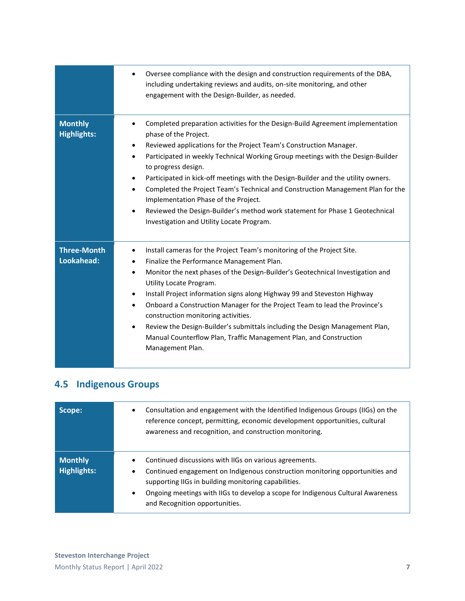|                                      | Oversee compliance with the design and construction requirements of the DBA,<br>including undertaking reviews and audits, on-site monitoring, and other<br>engagement with the Design-Builder, as needed.                                                                                                                                                                                                                                                                                                                                                                                                                                                                                             |
|--------------------------------------|-------------------------------------------------------------------------------------------------------------------------------------------------------------------------------------------------------------------------------------------------------------------------------------------------------------------------------------------------------------------------------------------------------------------------------------------------------------------------------------------------------------------------------------------------------------------------------------------------------------------------------------------------------------------------------------------------------|
| <b>Monthly</b><br><b>Highlights:</b> | Completed preparation activities for the Design-Build Agreement implementation<br>$\bullet$<br>phase of the Project.<br>Reviewed applications for the Project Team's Construction Manager.<br>Participated in weekly Technical Working Group meetings with the Design-Builder<br>$\bullet$<br>to progress design.<br>Participated in kick-off meetings with the Design-Builder and the utility owners.<br>$\bullet$<br>Completed the Project Team's Technical and Construction Management Plan for the<br>$\bullet$<br>Implementation Phase of the Project.<br>Reviewed the Design-Builder's method work statement for Phase 1 Geotechnical<br>$\bullet$<br>Investigation and Utility Locate Program. |
| <b>Three-Month</b><br>Lookahead:     | Install cameras for the Project Team's monitoring of the Project Site.<br>$\bullet$<br>Finalize the Performance Management Plan.<br>٠<br>Monitor the next phases of the Design-Builder's Geotechnical Investigation and<br>$\bullet$<br>Utility Locate Program.<br>Install Project information signs along Highway 99 and Steveston Highway<br>$\bullet$<br>Onboard a Construction Manager for the Project Team to lead the Province's<br>$\bullet$<br>construction monitoring activities.<br>Review the Design-Builder's submittals including the Design Management Plan,<br>$\bullet$<br>Manual Counterflow Plan, Traffic Management Plan, and Construction<br>Management Plan.                     |

## **4.5 Indigenous Groups**

| Scope:                        | Consultation and engagement with the Identified Indigenous Groups (IIGs) on the<br>٠<br>reference concept, permitting, economic development opportunities, cultural<br>awareness and recognition, and construction monitoring.                                                                                                             |
|-------------------------------|--------------------------------------------------------------------------------------------------------------------------------------------------------------------------------------------------------------------------------------------------------------------------------------------------------------------------------------------|
| <b>Monthly</b><br>Highlights: | Continued discussions with IIGs on various agreements.<br>٠<br>Continued engagement on Indigenous construction monitoring opportunities and<br>٠<br>supporting IIGs in building monitoring capabilities.<br>Ongoing meetings with IIGs to develop a scope for Indigenous Cultural Awareness<br>$\bullet$<br>and Recognition opportunities. |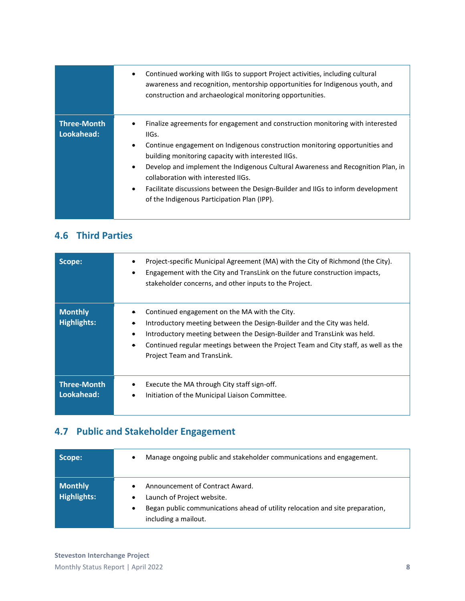|                                  | Continued working with IIGs to support Project activities, including cultural<br>$\bullet$<br>awareness and recognition, mentorship opportunities for Indigenous youth, and<br>construction and archaeological monitoring opportunities.                                                                                                                                                                                                                                                                                          |
|----------------------------------|-----------------------------------------------------------------------------------------------------------------------------------------------------------------------------------------------------------------------------------------------------------------------------------------------------------------------------------------------------------------------------------------------------------------------------------------------------------------------------------------------------------------------------------|
| <b>Three-Month</b><br>Lookahead: | Finalize agreements for engagement and construction monitoring with interested<br>IIGs.<br>Continue engagement on Indigenous construction monitoring opportunities and<br>$\bullet$<br>building monitoring capacity with interested IIGs.<br>Develop and implement the Indigenous Cultural Awareness and Recognition Plan, in<br>$\bullet$<br>collaboration with interested IIGs.<br>Facilitate discussions between the Design-Builder and IIGs to inform development<br>$\bullet$<br>of the Indigenous Participation Plan (IPP). |

### **4.6 Third Parties**

| Scope:                               | Project-specific Municipal Agreement (MA) with the City of Richmond (the City).<br>Engagement with the City and TransLink on the future construction impacts,<br>$\bullet$<br>stakeholder concerns, and other inputs to the Project.                                                                                                              |
|--------------------------------------|---------------------------------------------------------------------------------------------------------------------------------------------------------------------------------------------------------------------------------------------------------------------------------------------------------------------------------------------------|
| <b>Monthly</b><br><b>Highlights:</b> | Continued engagement on the MA with the City.<br>Introductory meeting between the Design-Builder and the City was held.<br>Introductory meeting between the Design-Builder and TransLink was held.<br>$\bullet$<br>Continued regular meetings between the Project Team and City staff, as well as the<br>$\bullet$<br>Project Team and TransLink. |
| <b>Three-Month</b><br>Lookahead:     | Execute the MA through City staff sign-off.<br>Initiation of the Municipal Liaison Committee.<br>$\bullet$                                                                                                                                                                                                                                        |

## **4.7 Public and Stakeholder Engagement**

| Scope:                        | Manage ongoing public and stakeholder communications and engagement.<br>$\bullet$                                                                                                                     |
|-------------------------------|-------------------------------------------------------------------------------------------------------------------------------------------------------------------------------------------------------|
| <b>Monthly</b><br>Highlights: | Announcement of Contract Award.<br>$\bullet$<br>Launch of Project website.<br>$\bullet$<br>Began public communications ahead of utility relocation and site preparation,<br>٠<br>including a mailout. |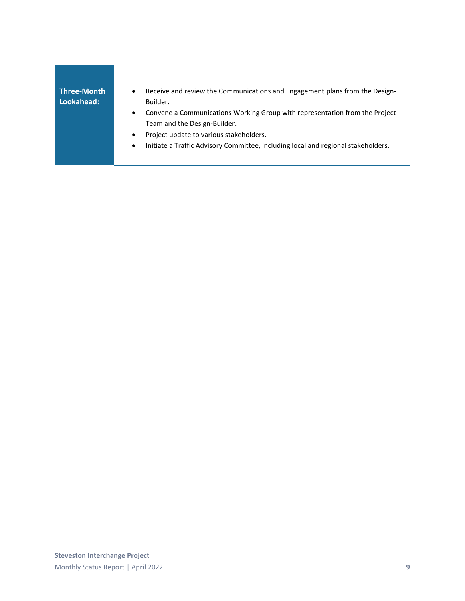| <b>Three-Month</b><br>Lookahead: | Receive and review the Communications and Engagement plans from the Design-<br>$\bullet$<br>Builder.                     |
|----------------------------------|--------------------------------------------------------------------------------------------------------------------------|
|                                  | Convene a Communications Working Group with representation from the Project<br>$\bullet$<br>Team and the Design-Builder. |
|                                  | Project update to various stakeholders.<br>٠                                                                             |
|                                  | Initiate a Traffic Advisory Committee, including local and regional stakeholders.<br>$\bullet$                           |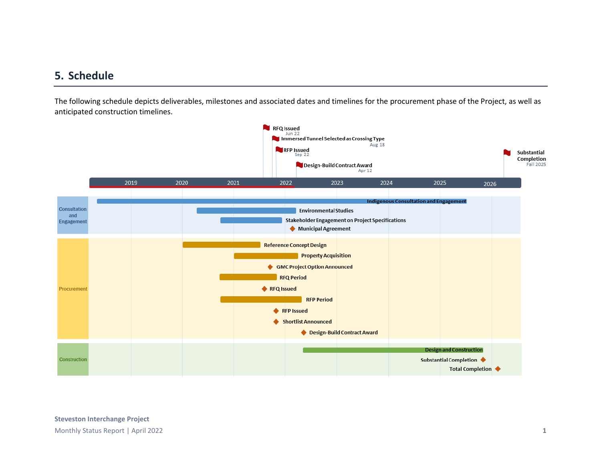#### **5. Schedule**

The following schedule depicts deliverables, milestones and associated dates and timelines for the procurement phase of the Project, as well as anticipated construction timelines.